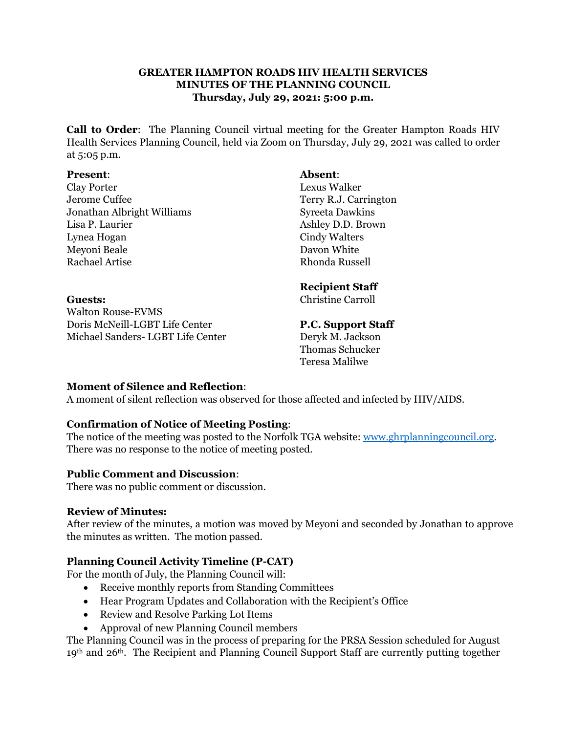### **GREATER HAMPTON ROADS HIV HEALTH SERVICES MINUTES OF THE PLANNING COUNCIL Thursday, July 29, 2021: 5:00 p.m.**

**Call to Order**: The Planning Council virtual meeting for the Greater Hampton Roads HIV Health Services Planning Council, held via Zoom on Thursday, July 29, 2021 was called to order at 5:05 p.m.

#### **Present**: **Absent**:

Clay Porter Lexus Walker Jerome Cuffee Terry R.J. Carrington Jonathan Albright Williams Syreeta Dawkins Lisa P. Laurier Ashley D.D. Brown Lynea Hogan Cindy Walters Meyoni Beale Davon White Rachael Artise Rhonda Russell

Walton Rouse-EVMS

## **Recipient Staff**

**Guests:** Christine Carroll

Doris McNeill-LGBT Life Center **P.C. Support Staff**

Michael Sanders- LGBT Life Center Deryk M. Jackson Thomas Schucker Teresa Malilwe

### **Moment of Silence and Reflection**:

A moment of silent reflection was observed for those affected and infected by HIV/AIDS.

### **Confirmation of Notice of Meeting Posting**:

The notice of the meeting was posted to the Norfolk TGA website: [www.ghrplanningcouncil.org.](http://www.ghrplanningcouncil.org/) There was no response to the notice of meeting posted.

### **Public Comment and Discussion**:

There was no public comment or discussion.

### **Review of Minutes:**

After review of the minutes, a motion was moved by Meyoni and seconded by Jonathan to approve the minutes as written. The motion passed.

# **Planning Council Activity Timeline (P-CAT)**

For the month of July, the Planning Council will:

- Receive monthly reports from Standing Committees
- Hear Program Updates and Collaboration with the Recipient's Office
- Review and Resolve Parking Lot Items
- Approval of new Planning Council members

The Planning Council was in the process of preparing for the PRSA Session scheduled for August 19<sup>th</sup> and 26<sup>th</sup>. The Recipient and Planning Council Support Staff are currently putting together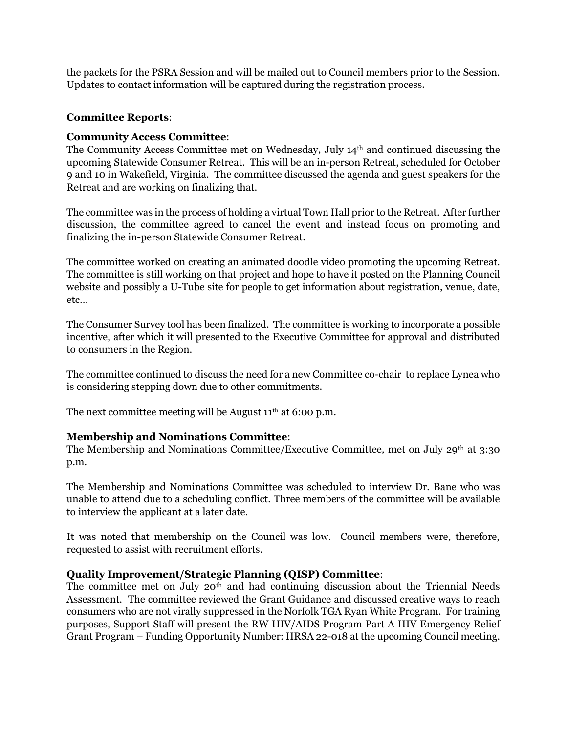the packets for the PSRA Session and will be mailed out to Council members prior to the Session. Updates to contact information will be captured during the registration process.

## **Committee Reports**:

## **Community Access Committee**:

The Community Access Committee met on Wednesday, July 14th and continued discussing the upcoming Statewide Consumer Retreat. This will be an in-person Retreat, scheduled for October 9 and 10 in Wakefield, Virginia. The committee discussed the agenda and guest speakers for the Retreat and are working on finalizing that.

The committee was in the process of holding a virtual Town Hall prior to the Retreat. After further discussion, the committee agreed to cancel the event and instead focus on promoting and finalizing the in-person Statewide Consumer Retreat.

The committee worked on creating an animated doodle video promoting the upcoming Retreat. The committee is still working on that project and hope to have it posted on the Planning Council website and possibly a U-Tube site for people to get information about registration, venue, date, etc...

The Consumer Survey tool has been finalized. The committee is working to incorporate a possible incentive, after which it will presented to the Executive Committee for approval and distributed to consumers in the Region.

The committee continued to discuss the need for a new Committee co-chair to replace Lynea who is considering stepping down due to other commitments.

The next committee meeting will be August  $11<sup>th</sup>$  at 6:00 p.m.

### **Membership and Nominations Committee**:

The Membership and Nominations Committee/Executive Committee, met on July 29th at 3:30 p.m.

The Membership and Nominations Committee was scheduled to interview Dr. Bane who was unable to attend due to a scheduling conflict. Three members of the committee will be available to interview the applicant at a later date.

It was noted that membership on the Council was low. Council members were, therefore, requested to assist with recruitment efforts.

### **Quality Improvement/Strategic Planning (QISP) Committee**:

The committee met on July 20<sup>th</sup> and had continuing discussion about the Triennial Needs Assessment. The committee reviewed the Grant Guidance and discussed creative ways to reach consumers who are not virally suppressed in the Norfolk TGA Ryan White Program. For training purposes, Support Staff will present the RW HIV/AIDS Program Part A HIV Emergency Relief Grant Program – Funding Opportunity Number: HRSA 22-018 at the upcoming Council meeting.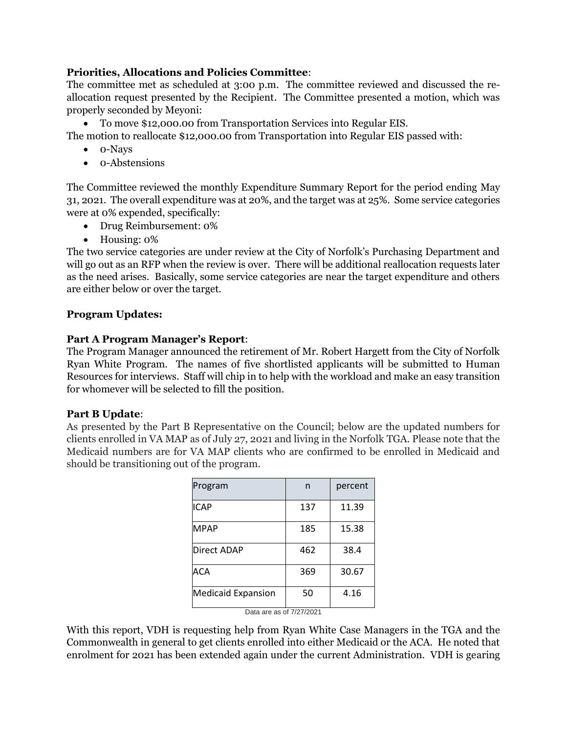# **Priorities, Allocations and Policies Committee**:

The committee met as scheduled at 3:00 p.m. The committee reviewed and discussed the reallocation request presented by the Recipient. The Committee presented a motion, which was properly seconded by Meyoni:

• To move \$12,000.00 from Transportation Services into Regular EIS.

The motion to reallocate \$12,000.00 from Transportation into Regular EIS passed with:

- 0-Nays
- 0-Abstensions

The Committee reviewed the monthly Expenditure Summary Report for the period ending May 31, 2021. The overall expenditure was at 20%, and the target was at 25%. Some service categories were at 0% expended, specifically:

- Drug Reimbursement: 0%
- Housing: 0%

The two service categories are under review at the City of Norfolk's Purchasing Department and will go out as an RFP when the review is over. There will be additional reallocation requests later as the need arises. Basically, some service categories are near the target expenditure and others are either below or over the target.

### **Program Updates:**

### **Part A Program Manager's Report**:

The Program Manager announced the retirement of Mr. Robert Hargett from the City of Norfolk Ryan White Program. The names of five shortlisted applicants will be submitted to Human Resources for interviews. Staff will chip in to help with the workload and make an easy transition for whomever will be selected to fill the position.

### **Part B Update**:

As presented by the Part B Representative on the Council; below are the updated numbers for clients enrolled in VA MAP as of July 27, 2021 and living in the Norfolk TGA. Please note that the Medicaid numbers are for VA MAP clients who are confirmed to be enrolled in Medicaid and should be transitioning out of the program.

| Program                  | n   | percent |  |  |  |
|--------------------------|-----|---------|--|--|--|
| <b>ICAP</b>              | 137 | 11.39   |  |  |  |
| <b>MPAP</b>              | 185 | 15.38   |  |  |  |
| <b>Direct ADAP</b>       | 462 | 38.4    |  |  |  |
| <b>ACA</b>               | 369 | 30.67   |  |  |  |
| Medicaid Expansion       | 50  | 4.16    |  |  |  |
| Data are as of 7/27/2021 |     |         |  |  |  |

Data are as of 7/27/2021

With this report, VDH is requesting help from Ryan White Case Managers in the TGA and the Commonwealth in general to get clients enrolled into either Medicaid or the ACA. He noted that enrolment for 2021 has been extended again under the current Administration. VDH is gearing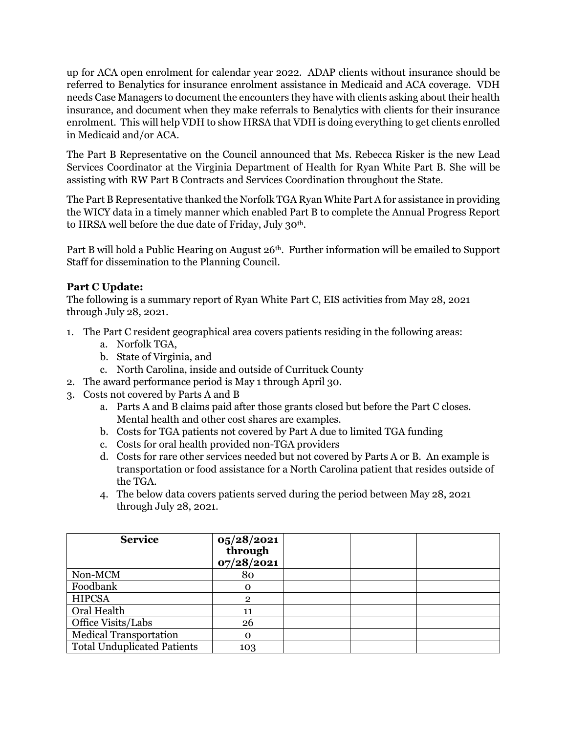up for ACA open enrolment for calendar year 2022. ADAP clients without insurance should be referred to Benalytics for insurance enrolment assistance in Medicaid and ACA coverage. VDH needs Case Managers to document the encounters they have with clients asking about their health insurance, and document when they make referrals to Benalytics with clients for their insurance enrolment. This will help VDH to show HRSA that VDH is doing everything to get clients enrolled in Medicaid and/or ACA.

The Part B Representative on the Council announced that Ms. Rebecca Risker is the new Lead Services Coordinator at the Virginia Department of Health for Ryan White Part B. She will be assisting with RW Part B Contracts and Services Coordination throughout the State.

The Part B Representative thanked the Norfolk TGA Ryan White Part A for assistance in providing the WICY data in a timely manner which enabled Part B to complete the Annual Progress Report to HRSA well before the due date of Friday, July 30<sup>th</sup>.

Part B will hold a Public Hearing on August 26<sup>th</sup>. Further information will be emailed to Support Staff for dissemination to the Planning Council.

# **Part C Update:**

The following is a summary report of Ryan White Part C, EIS activities from May 28, 2021 through July 28, 2021.

- 1. The Part C resident geographical area covers patients residing in the following areas:
	- a. Norfolk TGA,
	- b. State of Virginia, and
	- c. North Carolina, inside and outside of Currituck County
- 2. The award performance period is May 1 through April 30.
- 3. Costs not covered by Parts A and B
	- a. Parts A and B claims paid after those grants closed but before the Part C closes. Mental health and other cost shares are examples.
	- b. Costs for TGA patients not covered by Part A due to limited TGA funding
	- c. Costs for oral health provided non-TGA providers
	- d. Costs for rare other services needed but not covered by Parts A or B. An example is transportation or food assistance for a North Carolina patient that resides outside of the TGA.
	- 4. The below data covers patients served during the period between May 28, 2021 through July 28, 2021.

| <b>Service</b>                     | 05/28/2021<br>through<br>07/28/2021 |  |  |
|------------------------------------|-------------------------------------|--|--|
| Non-MCM                            | 80                                  |  |  |
| Foodbank                           | 0                                   |  |  |
| <b>HIPCSA</b>                      | 2                                   |  |  |
| Oral Health                        | 11                                  |  |  |
| Office Visits/Labs                 | 26                                  |  |  |
| <b>Medical Transportation</b>      | Ω                                   |  |  |
| <b>Total Unduplicated Patients</b> | 103                                 |  |  |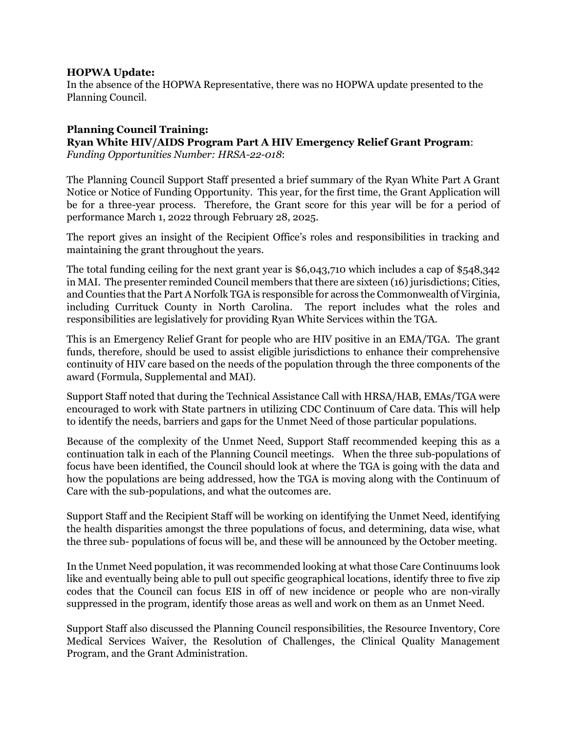### **HOPWA Update:**

In the absence of the HOPWA Representative, there was no HOPWA update presented to the Planning Council.

#### **Planning Council Training: Ryan White HIV/AIDS Program Part A HIV Emergency Relief Grant Program**: *Funding Opportunities Number: HRSA-22-018*:

The Planning Council Support Staff presented a brief summary of the Ryan White Part A Grant Notice or Notice of Funding Opportunity. This year, for the first time, the Grant Application will be for a three-year process. Therefore, the Grant score for this year will be for a period of performance March 1, 2022 through February 28, 2025.

The report gives an insight of the Recipient Office's roles and responsibilities in tracking and maintaining the grant throughout the years.

The total funding ceiling for the next grant year is \$6,043,710 which includes a cap of \$548,342 in MAI. The presenter reminded Council members that there are sixteen (16) jurisdictions; Cities, and Counties that the Part A Norfolk TGA is responsible for across the Commonwealth of Virginia, including Currituck County in North Carolina. The report includes what the roles and responsibilities are legislatively for providing Ryan White Services within the TGA.

This is an Emergency Relief Grant for people who are HIV positive in an EMA/TGA. The grant funds, therefore, should be used to assist eligible jurisdictions to enhance their comprehensive continuity of HIV care based on the needs of the population through the three components of the award (Formula, Supplemental and MAI).

Support Staff noted that during the Technical Assistance Call with HRSA/HAB, EMAs/TGA were encouraged to work with State partners in utilizing CDC Continuum of Care data. This will help to identify the needs, barriers and gaps for the Unmet Need of those particular populations.

Because of the complexity of the Unmet Need, Support Staff recommended keeping this as a continuation talk in each of the Planning Council meetings. When the three sub-populations of focus have been identified, the Council should look at where the TGA is going with the data and how the populations are being addressed, how the TGA is moving along with the Continuum of Care with the sub-populations, and what the outcomes are.

Support Staff and the Recipient Staff will be working on identifying the Unmet Need, identifying the health disparities amongst the three populations of focus, and determining, data wise, what the three sub- populations of focus will be, and these will be announced by the October meeting.

In the Unmet Need population, it was recommended looking at what those Care Continuums look like and eventually being able to pull out specific geographical locations, identify three to five zip codes that the Council can focus EIS in off of new incidence or people who are non-virally suppressed in the program, identify those areas as well and work on them as an Unmet Need.

Support Staff also discussed the Planning Council responsibilities, the Resource Inventory, Core Medical Services Waiver, the Resolution of Challenges, the Clinical Quality Management Program, and the Grant Administration.